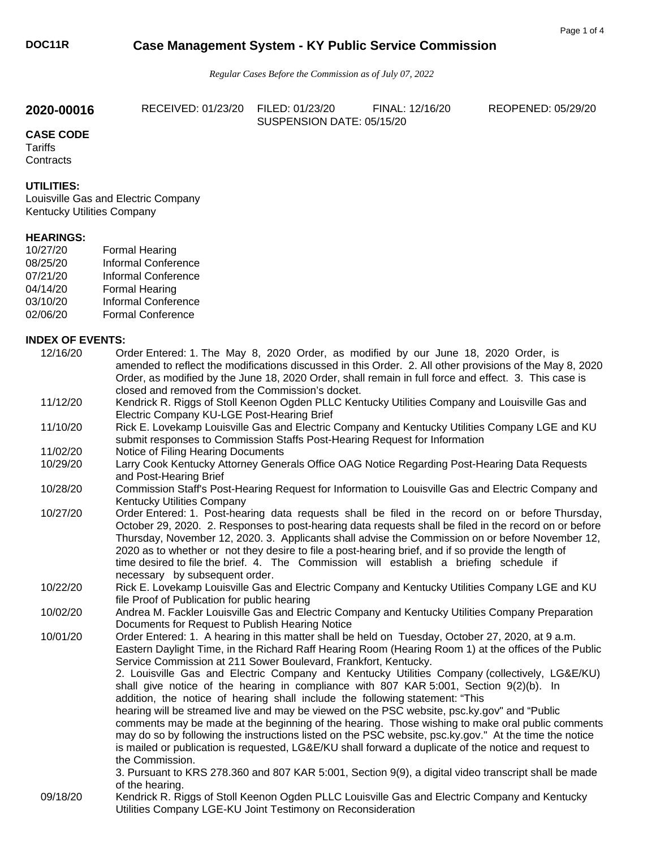# **DOC11R Case Management System - KY Public Service Commission**

*Regular Cases Before the Commission as of July 07, 2022* 

**2020-00016** RECEIVED: 01/23/20 FILED: 01/23/20 FINAL: 12/16/20 REOPENED: 05/29/20 SUSPENSION DATE: 05/15/20

**CASE CODE Tariffs Contracts** 

### **UTILITIES:**

Louisville Gas and Electric Company Kentucky Utilities Company

## **HEARINGS:**

| 10/27/20 | <b>Formal Hearing</b>      |
|----------|----------------------------|
| 08/25/20 | <b>Informal Conference</b> |
| 07/21/20 | <b>Informal Conference</b> |
| 04/14/20 | <b>Formal Hearing</b>      |
| 03/10/20 | <b>Informal Conference</b> |
| 02/06/20 | <b>Formal Conference</b>   |

#### **INDEX OF EVENTS:**

| 12/16/20 | Order Entered: 1. The May 8, 2020 Order, as modified by our June 18, 2020 Order, is<br>amended to reflect the modifications discussed in this Order. 2. All other provisions of the May 8, 2020<br>Order, as modified by the June 18, 2020 Order, shall remain in full force and effect. 3. This case is                                                                                                                                                                                                                                                                                                                                                                                                                                                                                                                                                                                                                                                                                                                                                                                                 |
|----------|----------------------------------------------------------------------------------------------------------------------------------------------------------------------------------------------------------------------------------------------------------------------------------------------------------------------------------------------------------------------------------------------------------------------------------------------------------------------------------------------------------------------------------------------------------------------------------------------------------------------------------------------------------------------------------------------------------------------------------------------------------------------------------------------------------------------------------------------------------------------------------------------------------------------------------------------------------------------------------------------------------------------------------------------------------------------------------------------------------|
|          | closed and removed from the Commission's docket.                                                                                                                                                                                                                                                                                                                                                                                                                                                                                                                                                                                                                                                                                                                                                                                                                                                                                                                                                                                                                                                         |
| 11/12/20 | Kendrick R. Riggs of Stoll Keenon Ogden PLLC Kentucky Utilities Company and Louisville Gas and<br>Electric Company KU-LGE Post-Hearing Brief                                                                                                                                                                                                                                                                                                                                                                                                                                                                                                                                                                                                                                                                                                                                                                                                                                                                                                                                                             |
| 11/10/20 | Rick E. Lovekamp Louisville Gas and Electric Company and Kentucky Utilities Company LGE and KU<br>submit responses to Commission Staffs Post-Hearing Request for Information                                                                                                                                                                                                                                                                                                                                                                                                                                                                                                                                                                                                                                                                                                                                                                                                                                                                                                                             |
| 11/02/20 | Notice of Filing Hearing Documents                                                                                                                                                                                                                                                                                                                                                                                                                                                                                                                                                                                                                                                                                                                                                                                                                                                                                                                                                                                                                                                                       |
| 10/29/20 | Larry Cook Kentucky Attorney Generals Office OAG Notice Regarding Post-Hearing Data Requests<br>and Post-Hearing Brief                                                                                                                                                                                                                                                                                                                                                                                                                                                                                                                                                                                                                                                                                                                                                                                                                                                                                                                                                                                   |
| 10/28/20 | Commission Staff's Post-Hearing Request for Information to Louisville Gas and Electric Company and<br>Kentucky Utilities Company                                                                                                                                                                                                                                                                                                                                                                                                                                                                                                                                                                                                                                                                                                                                                                                                                                                                                                                                                                         |
| 10/27/20 | Order Entered: 1. Post-hearing data requests shall be filed in the record on or before Thursday,<br>October 29, 2020. 2. Responses to post-hearing data requests shall be filed in the record on or before<br>Thursday, November 12, 2020. 3. Applicants shall advise the Commission on or before November 12,<br>2020 as to whether or not they desire to file a post-hearing brief, and if so provide the length of<br>time desired to file the brief. 4. The Commission will establish a briefing schedule if<br>necessary by subsequent order.                                                                                                                                                                                                                                                                                                                                                                                                                                                                                                                                                       |
| 10/22/20 | Rick E. Lovekamp Louisville Gas and Electric Company and Kentucky Utilities Company LGE and KU<br>file Proof of Publication for public hearing                                                                                                                                                                                                                                                                                                                                                                                                                                                                                                                                                                                                                                                                                                                                                                                                                                                                                                                                                           |
| 10/02/20 | Andrea M. Fackler Louisville Gas and Electric Company and Kentucky Utilities Company Preparation<br>Documents for Request to Publish Hearing Notice                                                                                                                                                                                                                                                                                                                                                                                                                                                                                                                                                                                                                                                                                                                                                                                                                                                                                                                                                      |
| 10/01/20 | Order Entered: 1. A hearing in this matter shall be held on Tuesday, October 27, 2020, at 9 a.m.<br>Eastern Daylight Time, in the Richard Raff Hearing Room (Hearing Room 1) at the offices of the Public<br>Service Commission at 211 Sower Boulevard, Frankfort, Kentucky.<br>2. Louisville Gas and Electric Company and Kentucky Utilities Company (collectively, LG&E/KU)<br>shall give notice of the hearing in compliance with 807 KAR 5:001, Section 9(2)(b). In<br>addition, the notice of hearing shall include the following statement: "This<br>hearing will be streamed live and may be viewed on the PSC website, psc.ky.gov" and "Public<br>comments may be made at the beginning of the hearing. Those wishing to make oral public comments<br>may do so by following the instructions listed on the PSC website, psc.ky.gov." At the time the notice<br>is mailed or publication is requested, LG&E/KU shall forward a duplicate of the notice and request to<br>the Commission.<br>3. Pursuant to KRS 278.360 and 807 KAR 5:001, Section 9(9), a digital video transcript shall be made |
| 09/18/20 | of the hearing.<br>Kendrick R. Riggs of Stoll Keenon Ogden PLLC Louisville Gas and Electric Company and Kentucky                                                                                                                                                                                                                                                                                                                                                                                                                                                                                                                                                                                                                                                                                                                                                                                                                                                                                                                                                                                         |
|          | Utilities Company LGE-KU Joint Testimony on Reconsideration                                                                                                                                                                                                                                                                                                                                                                                                                                                                                                                                                                                                                                                                                                                                                                                                                                                                                                                                                                                                                                              |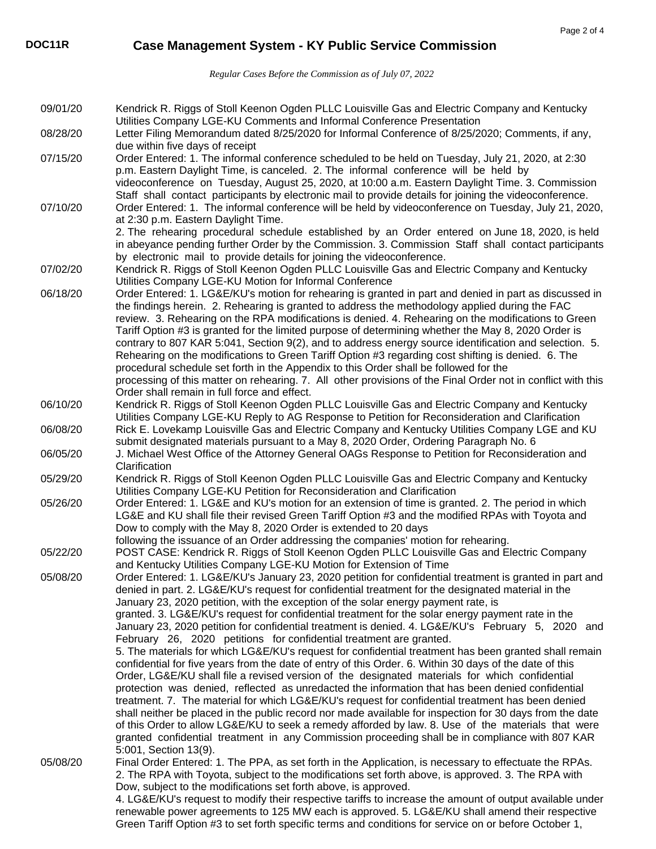*Regular Cases Before the Commission as of July 07, 2022* 

| 09/01/20 | Kendrick R. Riggs of Stoll Keenon Ogden PLLC Louisville Gas and Electric Company and Kentucky<br>Utilities Company LGE-KU Comments and Informal Conference Presentation                                                                                                                                                                                                                                                                                                                                                                                                                                                                                                                                                                                                                                                                                                                                                                                                                                                                                                                                                                                                                                                                                                                                                                                                                                                                                           |
|----------|-------------------------------------------------------------------------------------------------------------------------------------------------------------------------------------------------------------------------------------------------------------------------------------------------------------------------------------------------------------------------------------------------------------------------------------------------------------------------------------------------------------------------------------------------------------------------------------------------------------------------------------------------------------------------------------------------------------------------------------------------------------------------------------------------------------------------------------------------------------------------------------------------------------------------------------------------------------------------------------------------------------------------------------------------------------------------------------------------------------------------------------------------------------------------------------------------------------------------------------------------------------------------------------------------------------------------------------------------------------------------------------------------------------------------------------------------------------------|
| 08/28/20 | Letter Filing Memorandum dated 8/25/2020 for Informal Conference of 8/25/2020; Comments, if any,<br>due within five days of receipt                                                                                                                                                                                                                                                                                                                                                                                                                                                                                                                                                                                                                                                                                                                                                                                                                                                                                                                                                                                                                                                                                                                                                                                                                                                                                                                               |
| 07/15/20 | Order Entered: 1. The informal conference scheduled to be held on Tuesday, July 21, 2020, at 2:30<br>p.m. Eastern Daylight Time, is canceled. 2. The informal conference will be held by<br>videoconference on Tuesday, August 25, 2020, at 10:00 a.m. Eastern Daylight Time. 3. Commission<br>Staff shall contact participants by electronic mail to provide details for joining the videoconference.                                                                                                                                                                                                                                                                                                                                                                                                                                                                                                                                                                                                                                                                                                                                                                                                                                                                                                                                                                                                                                                            |
| 07/10/20 | Order Entered: 1. The informal conference will be held by videoconference on Tuesday, July 21, 2020,<br>at 2:30 p.m. Eastern Daylight Time.<br>2. The rehearing procedural schedule established by an Order entered on June 18, 2020, is held<br>in abeyance pending further Order by the Commission. 3. Commission Staff shall contact participants                                                                                                                                                                                                                                                                                                                                                                                                                                                                                                                                                                                                                                                                                                                                                                                                                                                                                                                                                                                                                                                                                                              |
| 07/02/20 | by electronic mail to provide details for joining the videoconference.<br>Kendrick R. Riggs of Stoll Keenon Ogden PLLC Louisville Gas and Electric Company and Kentucky<br>Utilities Company LGE-KU Motion for Informal Conference                                                                                                                                                                                                                                                                                                                                                                                                                                                                                                                                                                                                                                                                                                                                                                                                                                                                                                                                                                                                                                                                                                                                                                                                                                |
| 06/18/20 | Order Entered: 1. LG&E/KU's motion for rehearing is granted in part and denied in part as discussed in<br>the findings herein. 2. Rehearing is granted to address the methodology applied during the FAC<br>review. 3. Rehearing on the RPA modifications is denied. 4. Rehearing on the modifications to Green<br>Tariff Option #3 is granted for the limited purpose of determining whether the May 8, 2020 Order is<br>contrary to 807 KAR 5:041, Section 9(2), and to address energy source identification and selection. 5.<br>Rehearing on the modifications to Green Tariff Option #3 regarding cost shifting is denied. 6. The<br>procedural schedule set forth in the Appendix to this Order shall be followed for the<br>processing of this matter on rehearing. 7. All other provisions of the Final Order not in conflict with this<br>Order shall remain in full force and effect.                                                                                                                                                                                                                                                                                                                                                                                                                                                                                                                                                                   |
| 06/10/20 | Kendrick R. Riggs of Stoll Keenon Ogden PLLC Louisville Gas and Electric Company and Kentucky<br>Utilities Company LGE-KU Reply to AG Response to Petition for Reconsideration and Clarification                                                                                                                                                                                                                                                                                                                                                                                                                                                                                                                                                                                                                                                                                                                                                                                                                                                                                                                                                                                                                                                                                                                                                                                                                                                                  |
| 06/08/20 | Rick E. Lovekamp Louisville Gas and Electric Company and Kentucky Utilities Company LGE and KU<br>submit designated materials pursuant to a May 8, 2020 Order, Ordering Paragraph No. 6                                                                                                                                                                                                                                                                                                                                                                                                                                                                                                                                                                                                                                                                                                                                                                                                                                                                                                                                                                                                                                                                                                                                                                                                                                                                           |
| 06/05/20 | J. Michael West Office of the Attorney General OAGs Response to Petition for Reconsideration and<br>Clarification                                                                                                                                                                                                                                                                                                                                                                                                                                                                                                                                                                                                                                                                                                                                                                                                                                                                                                                                                                                                                                                                                                                                                                                                                                                                                                                                                 |
| 05/29/20 | Kendrick R. Riggs of Stoll Keenon Ogden PLLC Louisville Gas and Electric Company and Kentucky<br>Utilities Company LGE-KU Petition for Reconsideration and Clarification                                                                                                                                                                                                                                                                                                                                                                                                                                                                                                                                                                                                                                                                                                                                                                                                                                                                                                                                                                                                                                                                                                                                                                                                                                                                                          |
| 05/26/20 | Order Entered: 1. LG&E and KU's motion for an extension of time is granted. 2. The period in which<br>LG&E and KU shall file their revised Green Tariff Option #3 and the modified RPAs with Toyota and<br>Dow to comply with the May 8, 2020 Order is extended to 20 days<br>following the issuance of an Order addressing the companies' motion for rehearing.                                                                                                                                                                                                                                                                                                                                                                                                                                                                                                                                                                                                                                                                                                                                                                                                                                                                                                                                                                                                                                                                                                  |
| 05/22/20 | POST CASE: Kendrick R. Riggs of Stoll Keenon Ogden PLLC Louisville Gas and Electric Company<br>and Kentucky Utilities Company LGE-KU Motion for Extension of Time                                                                                                                                                                                                                                                                                                                                                                                                                                                                                                                                                                                                                                                                                                                                                                                                                                                                                                                                                                                                                                                                                                                                                                                                                                                                                                 |
| 05/08/20 | Order Entered: 1. LG&E/KU's January 23, 2020 petition for confidential treatment is granted in part and<br>denied in part. 2. LG&E/KU's request for confidential treatment for the designated material in the<br>January 23, 2020 petition, with the exception of the solar energy payment rate, is<br>granted. 3. LG&E/KU's request for confidential treatment for the solar energy payment rate in the<br>January 23, 2020 petition for confidential treatment is denied. 4. LG&E/KU's February 5, 2020 and<br>February 26, 2020 petitions for confidential treatment are granted.<br>5. The materials for which LG&E/KU's request for confidential treatment has been granted shall remain<br>confidential for five years from the date of entry of this Order. 6. Within 30 days of the date of this<br>Order, LG&E/KU shall file a revised version of the designated materials for which confidential<br>protection was denied, reflected as unredacted the information that has been denied confidential<br>treatment. 7. The material for which LG&E/KU's request for confidential treatment has been denied<br>shall neither be placed in the public record nor made available for inspection for 30 days from the date<br>of this Order to allow LG&E/KU to seek a remedy afforded by law. 8. Use of the materials that were<br>granted confidential treatment in any Commission proceeding shall be in compliance with 807 KAR<br>5:001, Section 13(9). |
| 05/08/20 | Final Order Entered: 1. The PPA, as set forth in the Application, is necessary to effectuate the RPAs.<br>2. The RPA with Toyota, subject to the modifications set forth above, is approved. 3. The RPA with<br>Dow, subject to the modifications set forth above, is approved.<br>4. LG&E/KU's request to modify their respective tariffs to increase the amount of output available under<br>renewable power agreements to 125 MW each is approved. 5. LG&E/KU shall amend their respective<br>Green Tariff Option #3 to set forth specific terms and conditions for service on or before October 1,                                                                                                                                                                                                                                                                                                                                                                                                                                                                                                                                                                                                                                                                                                                                                                                                                                                            |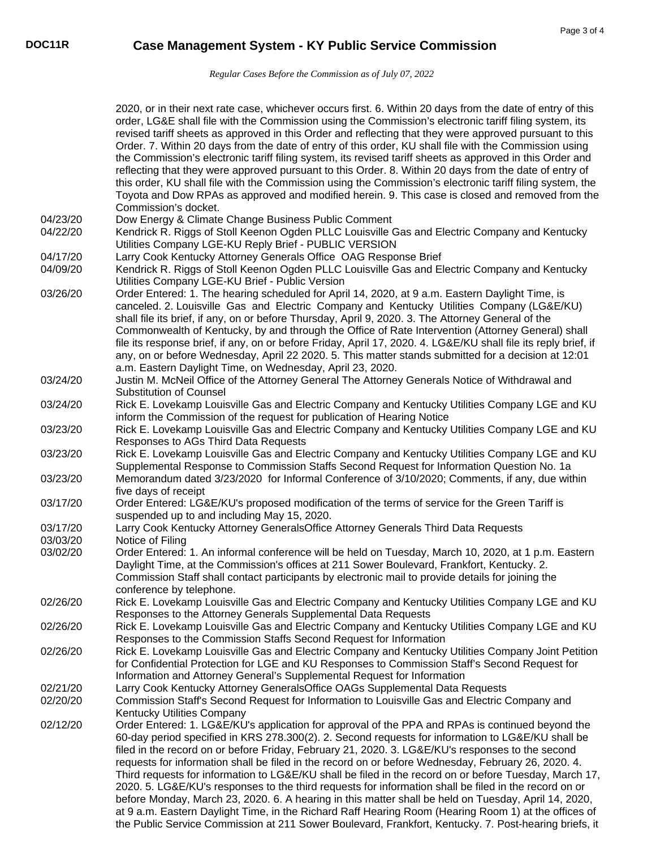*Regular Cases Before the Commission as of July 07, 2022* 

|          | 2020, or in their next rate case, whichever occurs first. 6. Within 20 days from the date of entry of this<br>order, LG&E shall file with the Commission using the Commission's electronic tariff filing system, its<br>revised tariff sheets as approved in this Order and reflecting that they were approved pursuant to this<br>Order. 7. Within 20 days from the date of entry of this order, KU shall file with the Commission using<br>the Commission's electronic tariff filing system, its revised tariff sheets as approved in this Order and<br>reflecting that they were approved pursuant to this Order. 8. Within 20 days from the date of entry of<br>this order, KU shall file with the Commission using the Commission's electronic tariff filing system, the<br>Toyota and Dow RPAs as approved and modified herein. 9. This case is closed and removed from the<br>Commission's docket.                                                    |
|----------|--------------------------------------------------------------------------------------------------------------------------------------------------------------------------------------------------------------------------------------------------------------------------------------------------------------------------------------------------------------------------------------------------------------------------------------------------------------------------------------------------------------------------------------------------------------------------------------------------------------------------------------------------------------------------------------------------------------------------------------------------------------------------------------------------------------------------------------------------------------------------------------------------------------------------------------------------------------|
| 04/23/20 | Dow Energy & Climate Change Business Public Comment                                                                                                                                                                                                                                                                                                                                                                                                                                                                                                                                                                                                                                                                                                                                                                                                                                                                                                          |
| 04/22/20 | Kendrick R. Riggs of Stoll Keenon Ogden PLLC Louisville Gas and Electric Company and Kentucky<br>Utilities Company LGE-KU Reply Brief - PUBLIC VERSION                                                                                                                                                                                                                                                                                                                                                                                                                                                                                                                                                                                                                                                                                                                                                                                                       |
| 04/17/20 | Larry Cook Kentucky Attorney Generals Office OAG Response Brief                                                                                                                                                                                                                                                                                                                                                                                                                                                                                                                                                                                                                                                                                                                                                                                                                                                                                              |
| 04/09/20 | Kendrick R. Riggs of Stoll Keenon Ogden PLLC Louisville Gas and Electric Company and Kentucky<br>Utilities Company LGE-KU Brief - Public Version                                                                                                                                                                                                                                                                                                                                                                                                                                                                                                                                                                                                                                                                                                                                                                                                             |
| 03/26/20 | Order Entered: 1. The hearing scheduled for April 14, 2020, at 9 a.m. Eastern Daylight Time, is<br>canceled. 2. Louisville Gas and Electric Company and Kentucky Utilities Company (LG&E/KU)<br>shall file its brief, if any, on or before Thursday, April 9, 2020. 3. The Attorney General of the<br>Commonwealth of Kentucky, by and through the Office of Rate Intervention (Attorney General) shall<br>file its response brief, if any, on or before Friday, April 17, 2020. 4. LG&E/KU shall file its reply brief, if<br>any, on or before Wednesday, April 22 2020. 5. This matter stands submitted for a decision at 12:01                                                                                                                                                                                                                                                                                                                            |
| 03/24/20 | a.m. Eastern Daylight Time, on Wednesday, April 23, 2020.<br>Justin M. McNeil Office of the Attorney General The Attorney Generals Notice of Withdrawal and                                                                                                                                                                                                                                                                                                                                                                                                                                                                                                                                                                                                                                                                                                                                                                                                  |
| 03/24/20 | <b>Substitution of Counsel</b><br>Rick E. Lovekamp Louisville Gas and Electric Company and Kentucky Utilities Company LGE and KU<br>inform the Commission of the request for publication of Hearing Notice                                                                                                                                                                                                                                                                                                                                                                                                                                                                                                                                                                                                                                                                                                                                                   |
| 03/23/20 | Rick E. Lovekamp Louisville Gas and Electric Company and Kentucky Utilities Company LGE and KU<br>Responses to AGs Third Data Requests                                                                                                                                                                                                                                                                                                                                                                                                                                                                                                                                                                                                                                                                                                                                                                                                                       |
| 03/23/20 | Rick E. Lovekamp Louisville Gas and Electric Company and Kentucky Utilities Company LGE and KU<br>Supplemental Response to Commission Staffs Second Request for Information Question No. 1a                                                                                                                                                                                                                                                                                                                                                                                                                                                                                                                                                                                                                                                                                                                                                                  |
| 03/23/20 | Memorandum dated 3/23/2020 for Informal Conference of 3/10/2020; Comments, if any, due within<br>five days of receipt                                                                                                                                                                                                                                                                                                                                                                                                                                                                                                                                                                                                                                                                                                                                                                                                                                        |
| 03/17/20 | Order Entered: LG&E/KU's proposed modification of the terms of service for the Green Tariff is<br>suspended up to and including May 15, 2020.                                                                                                                                                                                                                                                                                                                                                                                                                                                                                                                                                                                                                                                                                                                                                                                                                |
| 03/17/20 | Larry Cook Kentucky Attorney GeneralsOffice Attorney Generals Third Data Requests                                                                                                                                                                                                                                                                                                                                                                                                                                                                                                                                                                                                                                                                                                                                                                                                                                                                            |
| 03/03/20 | Notice of Filing                                                                                                                                                                                                                                                                                                                                                                                                                                                                                                                                                                                                                                                                                                                                                                                                                                                                                                                                             |
| 03/02/20 | Order Entered: 1. An informal conference will be held on Tuesday, March 10, 2020, at 1 p.m. Eastern<br>Daylight Time, at the Commission's offices at 211 Sower Boulevard, Frankfort, Kentucky. 2.<br>Commission Staff shall contact participants by electronic mail to provide details for joining the<br>conference by telephone.                                                                                                                                                                                                                                                                                                                                                                                                                                                                                                                                                                                                                           |
| 02/26/20 | Rick E. Lovekamp Louisville Gas and Electric Company and Kentucky Utilities Company LGE and KU<br>Responses to the Attorney Generals Supplemental Data Requests                                                                                                                                                                                                                                                                                                                                                                                                                                                                                                                                                                                                                                                                                                                                                                                              |
| 02/26/20 | Rick E. Lovekamp Louisville Gas and Electric Company and Kentucky Utilities Company LGE and KU<br>Responses to the Commission Staffs Second Request for Information                                                                                                                                                                                                                                                                                                                                                                                                                                                                                                                                                                                                                                                                                                                                                                                          |
| 02/26/20 | Rick E. Lovekamp Louisville Gas and Electric Company and Kentucky Utilities Company Joint Petition<br>for Confidential Protection for LGE and KU Responses to Commission Staff's Second Request for<br>Information and Attorney General's Supplemental Request for Information                                                                                                                                                                                                                                                                                                                                                                                                                                                                                                                                                                                                                                                                               |
| 02/21/20 | Larry Cook Kentucky Attorney GeneralsOffice OAGs Supplemental Data Requests                                                                                                                                                                                                                                                                                                                                                                                                                                                                                                                                                                                                                                                                                                                                                                                                                                                                                  |
| 02/20/20 | Commission Staff's Second Request for Information to Louisville Gas and Electric Company and<br><b>Kentucky Utilities Company</b>                                                                                                                                                                                                                                                                                                                                                                                                                                                                                                                                                                                                                                                                                                                                                                                                                            |
| 02/12/20 | Order Entered: 1. LG&E/KU's application for approval of the PPA and RPAs is continued beyond the<br>60-day period specified in KRS 278.300(2). 2. Second requests for information to LG&E/KU shall be<br>filed in the record on or before Friday, February 21, 2020. 3. LG&E/KU's responses to the second<br>requests for information shall be filed in the record on or before Wednesday, February 26, 2020. 4.<br>Third requests for information to LG&E/KU shall be filed in the record on or before Tuesday, March 17,<br>2020. 5. LG&E/KU's responses to the third requests for information shall be filed in the record on or<br>before Monday, March 23, 2020. 6. A hearing in this matter shall be held on Tuesday, April 14, 2020,<br>at 9 a.m. Eastern Daylight Time, in the Richard Raff Hearing Room (Hearing Room 1) at the offices of<br>the Public Service Commission at 211 Sower Boulevard, Frankfort, Kentucky. 7. Post-hearing briefs, it |